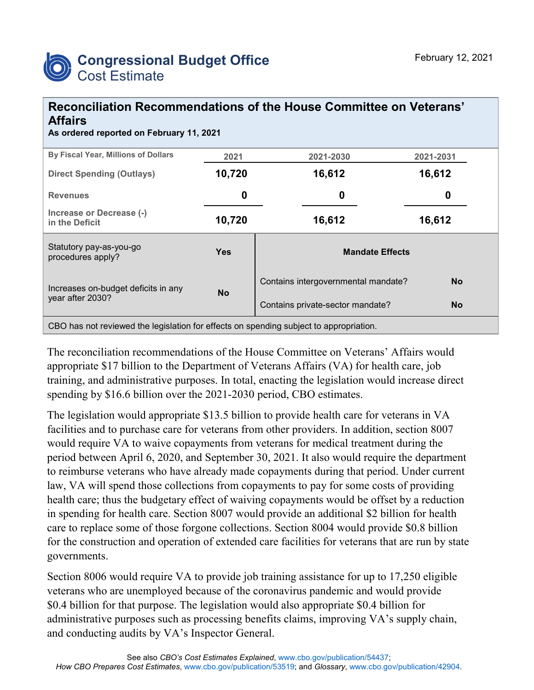

## **Reconciliation Recommendations of the House Committee on Veterans' Affairs**

**As ordered reported on February 11, 2021**

| By Fiscal Year, Millions of Dollars                     | 2021       | 2021-2030                           | 2021-2031 |  |  |  |  |  |
|---------------------------------------------------------|------------|-------------------------------------|-----------|--|--|--|--|--|
| <b>Direct Spending (Outlays)</b>                        | 10,720     | 16,612                              | 16,612    |  |  |  |  |  |
| <b>Revenues</b>                                         | 0          | 0                                   | 0         |  |  |  |  |  |
| Increase or Decrease (-)<br>in the Deficit              | 10,720     | 16,612                              | 16,612    |  |  |  |  |  |
| Statutory pay-as-you-go<br>procedures apply?            | <b>Yes</b> | <b>Mandate Effects</b>              |           |  |  |  |  |  |
| Increases on-budget deficits in any<br>year after 2030? | <b>No</b>  | Contains intergovernmental mandate? | <b>No</b> |  |  |  |  |  |
|                                                         |            | Contains private-sector mandate?    | <b>No</b> |  |  |  |  |  |
|                                                         |            |                                     |           |  |  |  |  |  |

CBO has not reviewed the legislation for effects on spending subject to appropriation.

The reconciliation recommendations of the House Committee on Veterans' Affairs would appropriate \$17 billion to the Department of Veterans Affairs (VA) for health care, job training, and administrative purposes. In total, enacting the legislation would increase direct spending by \$16.6 billion over the 2021-2030 period, CBO estimates.

The legislation would appropriate \$13.5 billion to provide health care for veterans in VA facilities and to purchase care for veterans from other providers. In addition, section 8007 would require VA to waive copayments from veterans for medical treatment during the period between April 6, 2020, and September 30, 2021. It also would require the department to reimburse veterans who have already made copayments during that period. Under current law, VA will spend those collections from copayments to pay for some costs of providing health care; thus the budgetary effect of waiving copayments would be offset by a reduction in spending for health care. Section 8007 would provide an additional \$2 billion for health care to replace some of those forgone collections. Section 8004 would provide \$0.8 billion for the construction and operation of extended care facilities for veterans that are run by state governments.

Section 8006 would require VA to provide job training assistance for up to 17,250 eligible veterans who are unemployed because of the coronavirus pandemic and would provide \$0.4 billion for that purpose. The legislation would also appropriate \$0.4 billion for administrative purposes such as processing benefits claims, improving VA's supply chain, and conducting audits by VA's Inspector General.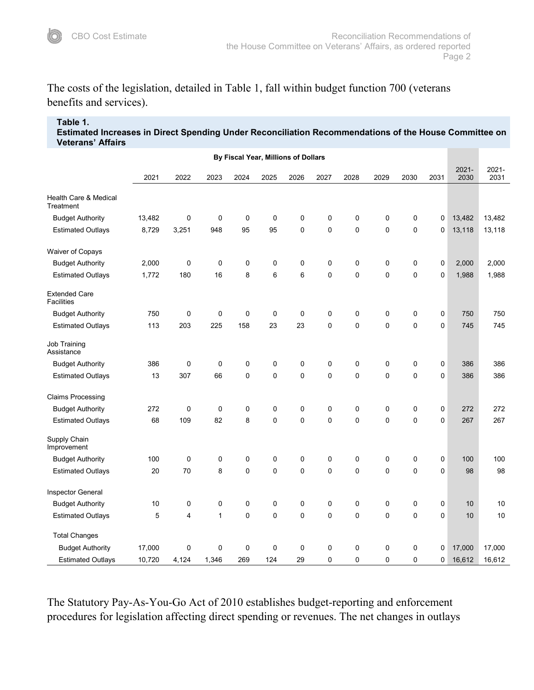The costs of the legislation, detailed in Table 1, fall within budget function 700 (veterans benefits and services).

## **Table 1.**

**Estimated Increases in Direct Spending Under Reconciliation Recommendations of the House Committee on Veterans' Affairs**

| By Fiscal Year, Millions of Dollars       |        |           |              |           |              |              |             |             |             |             |      |                  |               |
|-------------------------------------------|--------|-----------|--------------|-----------|--------------|--------------|-------------|-------------|-------------|-------------|------|------------------|---------------|
|                                           | 2021   | 2022      | 2023         | 2024      | 2025         | 2026         | 2027        | 2028        | 2029        | 2030        | 2031 | $2021 -$<br>2030 | 2021-<br>2031 |
| Health Care & Medical<br>Treatment        |        |           |              |           |              |              |             |             |             |             |      |                  |               |
| <b>Budget Authority</b>                   | 13,482 | $\pmb{0}$ | $\mathbf 0$  | $\pmb{0}$ | $\mathbf 0$  | $\mathbf 0$  | 0           | 0           | 0           | $\mathbf 0$ | 0    | 13,482           | 13,482        |
| <b>Estimated Outlays</b>                  | 8,729  | 3,251     | 948          | 95        | 95           | $\mathbf 0$  | $\mathbf 0$ | 0           | $\mathbf 0$ | $\mathbf 0$ | 0    | 13,118           | 13,118        |
| Waiver of Copays                          |        |           |              |           |              |              |             |             |             |             |      |                  |               |
| <b>Budget Authority</b>                   | 2,000  | 0         | 0            | 0         | 0            | 0            | 0           | 0           | 0           | $\mathbf 0$ | 0    | 2,000            | 2,000         |
| <b>Estimated Outlays</b>                  | 1,772  | 180       | 16           | 8         | 6            | $\,6$        | 0           | 0           | 0           | $\mathbf 0$ | 0    | 1,988            | 1,988         |
| <b>Extended Care</b><br><b>Facilities</b> |        |           |              |           |              |              |             |             |             |             |      |                  |               |
| <b>Budget Authority</b>                   | 750    | 0         | 0            | $\pmb{0}$ | 0            | 0            | 0           | 0           | 0           | $\pmb{0}$   | 0    | 750              | 750           |
| <b>Estimated Outlays</b>                  | 113    | 203       | 225          | 158       | 23           | 23           | $\mathbf 0$ | 0           | 0           | $\mathbf 0$ | 0    | 745              | 745           |
| Job Training<br>Assistance                |        |           |              |           |              |              |             |             |             |             |      |                  |               |
| <b>Budget Authority</b>                   | 386    | 0         | 0            | 0         | 0            | 0            | 0           | 0           | 0           | 0           | 0    | 386              | 386           |
| <b>Estimated Outlays</b>                  | 13     | 307       | 66           | $\pmb{0}$ | $\mathbf 0$  | $\mathbf 0$  | 0           | 0           | $\mathbf 0$ | $\mathbf 0$ | 0    | 386              | 386           |
| <b>Claims Processing</b>                  |        |           |              |           |              |              |             |             |             |             |      |                  |               |
| <b>Budget Authority</b>                   | 272    | 0         | 0            | 0         | 0            | 0            | 0           | 0           | 0           | $\pmb{0}$   | 0    | 272              | 272           |
| <b>Estimated Outlays</b>                  | 68     | 109       | 82           | 8         | $\mathbf{0}$ | $\mathbf{0}$ | $\mathsf 0$ | $\mathsf 0$ | 0           | $\pmb{0}$   | 0    | 267              | 267           |
| Supply Chain<br>Improvement               |        |           |              |           |              |              |             |             |             |             |      |                  |               |
| <b>Budget Authority</b>                   | 100    | $\pmb{0}$ | 0            | $\pmb{0}$ | 0            | $\mathbf 0$  | 0           | 0           | 0           | $\mathbf 0$ | 0    | 100              | 100           |
| <b>Estimated Outlays</b>                  | 20     | 70        | 8            | $\pmb{0}$ | 0            | $\mathbf 0$  | 0           | 0           | $\mathsf 0$ | $\mathbf 0$ | 0    | 98               | 98            |
| Inspector General                         |        |           |              |           |              |              |             |             |             |             |      |                  |               |
| <b>Budget Authority</b>                   | 10     | 0         | 0            | 0         | 0            | 0            | 0           | 0           | 0           | $\pmb{0}$   | 0    | 10               | 10            |
| <b>Estimated Outlays</b>                  | 5      | 4         | $\mathbf{1}$ | $\pmb{0}$ | 0            | $\mathbf 0$  | 0           | 0           | 0           | $\mathbf 0$ | 0    | 10               | 10            |
| <b>Total Changes</b>                      |        |           |              |           |              |              |             |             |             |             |      |                  |               |
| <b>Budget Authority</b>                   | 17,000 | 0         | $\pmb{0}$    | $\pmb{0}$ | 0            | 0            | 0           | 0           | 0           | 0           | 0    | 17,000           | 17,000        |
| <b>Estimated Outlays</b>                  | 10,720 | 4,124     | 1,346        | 269       | 124          | 29           | 0           | 0           | 0           | $\mathbf 0$ | 0    | 16,612           | 16,612        |

The Statutory Pay-As-You-Go Act of 2010 establishes budget-reporting and enforcement procedures for legislation affecting direct spending or revenues. The net changes in outlays